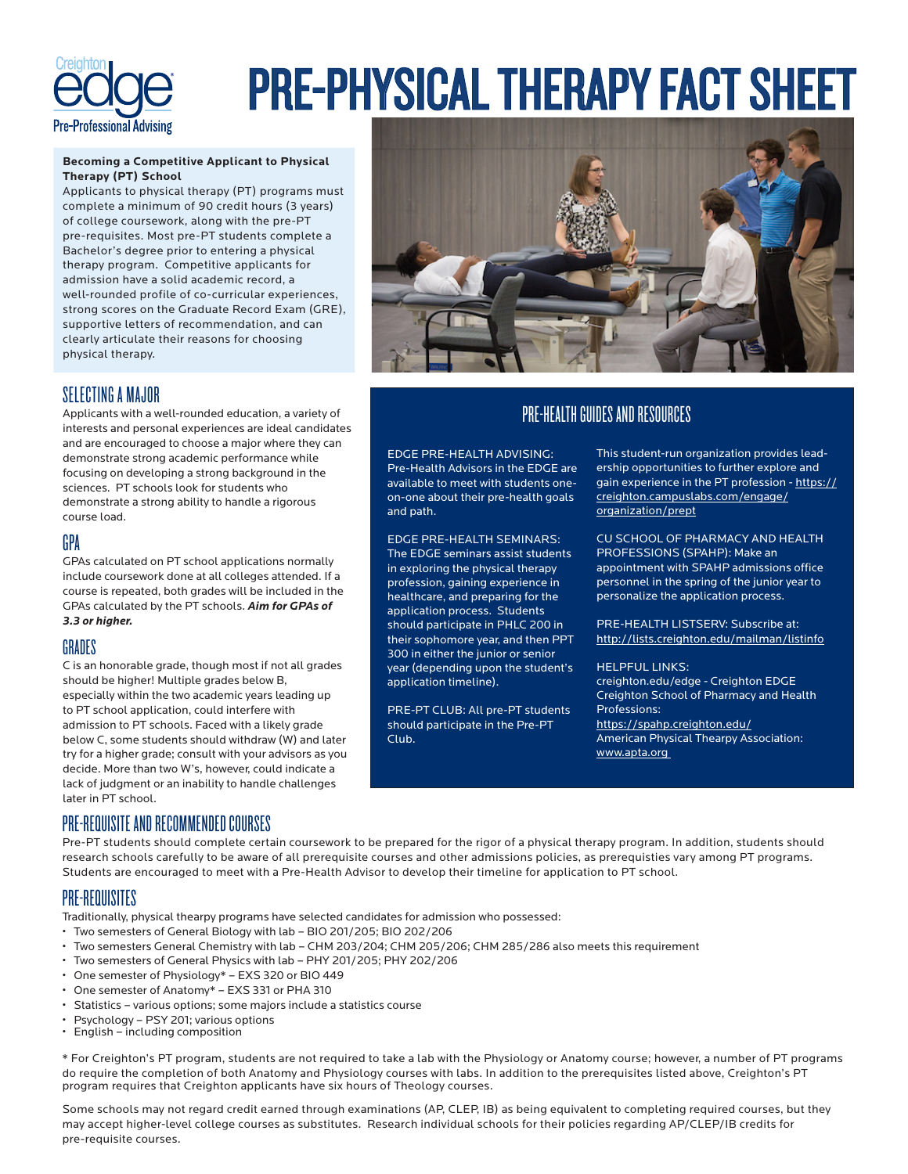

# PRE-PHYSICAL THERAPY FACT SHEET

## **Becoming a Competitive Applicant to Physical Therapy (PT) School**

Applicants to physical therapy (PT) programs must complete a minimum of 90 credit hours (3 years) of college coursework, along with the pre-PT pre-requisites. Most pre-PT students complete a Bachelor's degree prior to entering a physical therapy program. Competitive applicants for admission have a solid academic record, a well-rounded profile of co-curricular experiences, strong scores on the Graduate Record Exam (GRE), supportive letters of recommendation, and can clearly articulate their reasons for choosing physical therapy.



# PRE-HEALTH GUIDES AND RESOURCES

EDGE PRE-HEALTH ADVISING: Pre-Health Advisors in the EDGE are available to meet with students oneon-one about their pre-health goals and path.

EDGE PRE-HEALTH SEMINARS: The EDGE seminars assist students in exploring the physical therapy profession, gaining experience in healthcare, and preparing for the application process. Students should participate in PHLC 200 in their sophomore year, and then PPT 300 in either the junior or senior year (depending upon the student's application timeline).

PRE-PT CLUB: All pre-PT students should participate in the Pre-PT Club.

This student-run organization provides leadership opportunities to further explore and gain experience in the PT profession - https:// creighton.campuslabs.com/engage/ organization/prept

CU SCHOOL OF PHARMACY AND HEALTH PROFESSIONS (SPAHP): Make an appointment with SPAHP admissions office personnel in the spring of the junior year to personalize the application process.

PRE-HEALTH LISTSERV: Subscribe at: http://lists.creighton.edu/mailman/listinfo

## HELPFUL LINKS:

creighton.edu/edge - Creighton EDGE Creighton School of Pharmacy and Health Professions: https://spahp.creighton.edu/

American Physical Thearpy Association: www.apta.org

# SELECTING A MAJOR

Applicants with a well-rounded education, a variety of interests and personal experiences are ideal candidates and are encouraged to choose a major where they can demonstrate strong academic performance while focusing on developing a strong background in the sciences. PT schools look for students who demonstrate a strong ability to handle a rigorous course load.

# GPA

GPAs calculated on PT school applications normally include coursework done at all colleges attended. If a course is repeated, both grades will be included in the GPAs calculated by the PT schools. *Aim for GPAs of 3.3 or higher.* 

# GRADES

C is an honorable grade, though most if not all grades should be higher! Multiple grades below B, especially within the two academic years leading up to PT school application, could interfere with admission to PT schools. Faced with a likely grade below C, some students should withdraw (W) and later try for a higher grade; consult with your advisors as you decide. More than two W's, however, could indicate a lack of judgment or an inability to handle challenges later in PT school.

# PRE-REQUISITE AND RECOMMENDED COURSES

Pre-PT students should complete certain coursework to be prepared for the rigor of a physical therapy program. In addition, students should research schools carefully to be aware of all prerequisite courses and other admissions policies, as prerequisties vary among PT programs. Students are encouraged to meet with a Pre-Health Advisor to develop their timeline for application to PT school.

# PRE-REQUISITES

Traditionally, physical thearpy programs have selected candidates for admission who possessed:

- Two semesters of General Biology with lab BIO 201/205; BIO 202/206
- Two semesters General Chemistry with lab CHM 203/204; CHM 205/206; CHM 285/286 also meets this requirement
- Two semesters of General Physics with lab PHY 201/205; PHY 202/206
- One semester of Physiology\* EXS 320 or BIO 449
- One semester of Anatomy\* EXS 331 or PHA 310
- Statistics various options; some majors include a statistics course
- Psychology PSY 201; various options
- English including composition

\* For Creighton's PT program, students are not required to take a lab with the Physiology or Anatomy course; however, a number of PT programs do require the completion of both Anatomy and Physiology courses with labs. In addition to the prerequisites listed above, Creighton's PT program requires that Creighton applicants have six hours of Theology courses.

Some schools may not regard credit earned through examinations (AP, CLEP, IB) as being equivalent to completing required courses, but they may accept higher-level college courses as substitutes. Research individual schools for their policies regarding AP/CLEP/IB credits for pre-requisite courses.